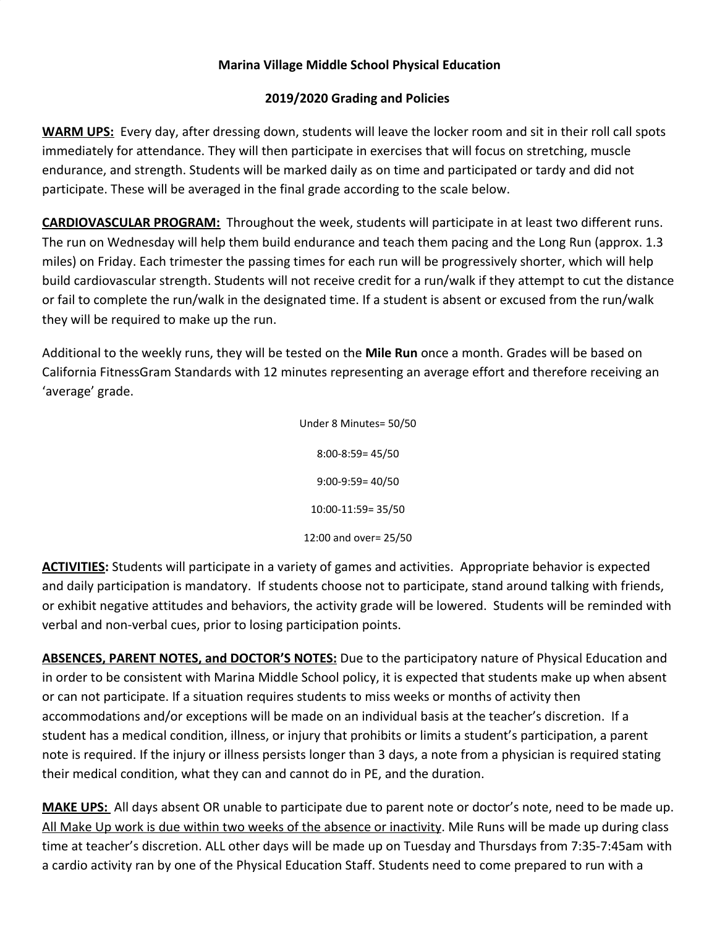## **Marina Village Middle School Physical Education**

## **2019/2020 Grading and Policies**

**WARM UPS:** Every day, after dressing down, students will leave the locker room and sit in their roll call spots immediately for attendance. They will then participate in exercises that will focus on stretching, muscle endurance, and strength. Students will be marked daily as on time and participated or tardy and did not participate. These will be averaged in the final grade according to the scale below.

**CARDIOVASCULAR PROGRAM:** Throughout the week, students will participate in at least two different runs. The run on Wednesday will help them build endurance and teach them pacing and the Long Run (approx. 1.3 miles) on Friday. Each trimester the passing times for each run will be progressively shorter, which will help build cardiovascular strength. Students will not receive credit for a run/walk if they attempt to cut the distance or fail to complete the run/walk in the designated time. If a student is absent or excused from the run/walk they will be required to make up the run.

Additional to the weekly runs, they will be tested on the **Mile Run** once a month. Grades will be based on California FitnessGram Standards with 12 minutes representing an average effort and therefore receiving an 'average' grade.

> Under 8 Minutes= 50/50 8:00-8:59= 45/50 9:00-9:59= 40/50 10:00-11:59= 35/50 12:00 and over= 25/50

**ACTIVITIES:** Students will participate in a variety of games and activities. Appropriate behavior is expected and daily participation is mandatory. If students choose not to participate, stand around talking with friends, or exhibit negative attitudes and behaviors, the activity grade will be lowered. Students will be reminded with verbal and non-verbal cues, prior to losing participation points.

**ABSENCES, PARENT NOTES, and DOCTOR'S NOTES:** Due to the participatory nature of Physical Education and in order to be consistent with Marina Middle School policy, it is expected that students make up when absent or can not participate. If a situation requires students to miss weeks or months of activity then accommodations and/or exceptions will be made on an individual basis at the teacher's discretion. If a student has a medical condition, illness, or injury that prohibits or limits a student's participation, a parent note is required. If the injury or illness persists longer than 3 days, a note from a physician is required stating their medical condition, what they can and cannot do in PE, and the duration.

**MAKE UPS:** All days absent OR unable to participate due to parent note or doctor's note, need to be made up. All Make Up work is due within two weeks of the absence or inactivity. Mile Runs will be made up during class time at teacher's discretion. ALL other days will be made up on Tuesday and Thursdays from 7:35-7:45am with a cardio activity ran by one of the Physical Education Staff. Students need to come prepared to run with a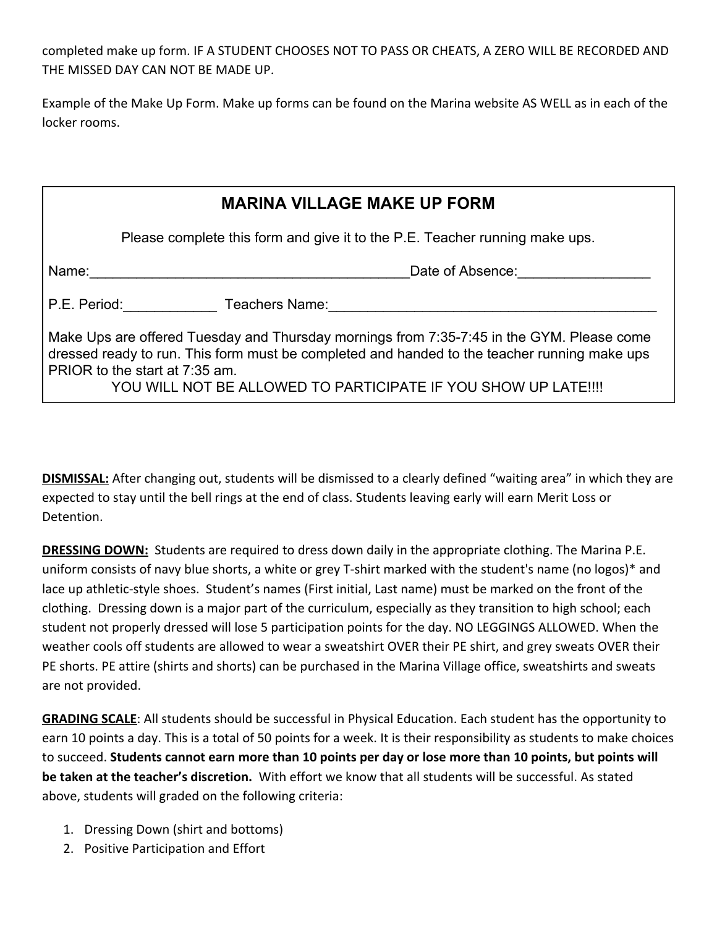completed make up form. IF A STUDENT CHOOSES NOT TO PASS OR CHEATS, A ZERO WILL BE RECORDED AND THE MISSED DAY CAN NOT BE MADE UP.

Example of the Make Up Form. Make up forms can be found on the Marina website AS WELL as in each of the locker rooms.

| <b>MARINA VILLAGE MAKE UP FORM</b>                                                                                                                                                                                                                                                             |                             |  |  |
|------------------------------------------------------------------------------------------------------------------------------------------------------------------------------------------------------------------------------------------------------------------------------------------------|-----------------------------|--|--|
| Please complete this form and give it to the P.E. Teacher running make ups.                                                                                                                                                                                                                    |                             |  |  |
| Name:                                                                                                                                                                                                                                                                                          | Date of Absence:            |  |  |
|                                                                                                                                                                                                                                                                                                | P.E. Period: Teachers Name: |  |  |
| Make Ups are offered Tuesday and Thursday mornings from 7:35-7:45 in the GYM. Please come<br>dressed ready to run. This form must be completed and handed to the teacher running make ups<br>PRIOR to the start at 7:35 am.<br>YOU WILL NOT BE ALLOWED TO PARTICIPATE IF YOU SHOW UP LATE !!!! |                             |  |  |

**DISMISSAL:** After changing out, students will be dismissed to a clearly defined "waiting area" in which they are expected to stay until the bell rings at the end of class. Students leaving early will earn Merit Loss or Detention.

**DRESSING DOWN:** Students are required to dress down daily in the appropriate clothing. The Marina P.E. uniform consists of navy blue shorts, a white or grey T-shirt marked with the student's name (no logos)\* and lace up athletic-style shoes. Student's names (First initial, Last name) must be marked on the front of the clothing. Dressing down is a major part of the curriculum, especially as they transition to high school; each student not properly dressed will lose 5 participation points for the day. NO LEGGINGS ALLOWED. When the weather cools off students are allowed to wear a sweatshirt OVER their PE shirt, and grey sweats OVER their PE shorts. PE attire (shirts and shorts) can be purchased in the Marina Village office, sweatshirts and sweats are not provided.

**GRADING SCALE**: All students should be successful in Physical Education. Each student has the opportunity to earn 10 points a day. This is a total of 50 points for a week. It is their responsibility as students to make choices to succeed. **Students cannot earn more than 10 points per day or lose more than 10 points, but points will be taken at the teacher's discretion.** With effort we know that all students will be successful. As stated above, students will graded on the following criteria:

- 1. Dressing Down (shirt and bottoms)
- 2. Positive Participation and Effort